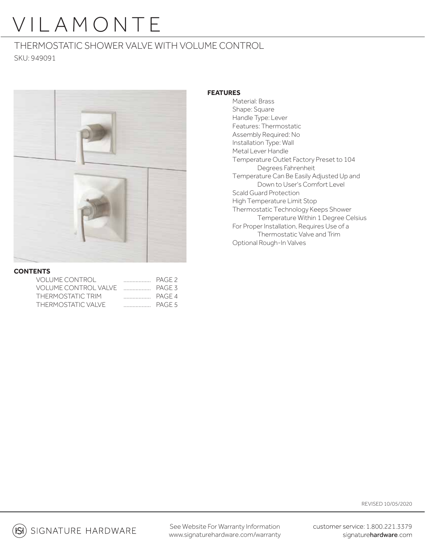### THERMOSTATIC SHOWER VALVE WITH VOLUME CONTROL SKU: 949091



#### **CONTENTS**

| <b>VOLUME CONTROL</b>           | PAGE 2 |
|---------------------------------|--------|
| VOLUME CONTROL VALVE THE PAGE 3 |        |
| THERMOSTATIC TRIM               |        |
| THERMOSTATIC VALVE              |        |

### **FEATURES**

 Material: Brass Shape: Square Handle Type: Lever Features: Thermostatic Assembly Required: No Installation Type: Wall Metal Lever Handle Temperature Outlet Factory Preset to 104 Degrees Fahrenheit Temperature Can Be Easily Adjusted Up and Down to User's Comfort Level Scald Guard Protection High Temperature Limit Stop Thermostatic Technology Keeps Shower Temperature Within 1 Degree Celsius For Proper Installation, Requires Use of a Thermostatic Valve and Trim Optional Rough-In Valves

REVISED 10/05/2020

 $(S)$  signature hardware

See Website For Warranty Information www.signaturehardware.com/warranty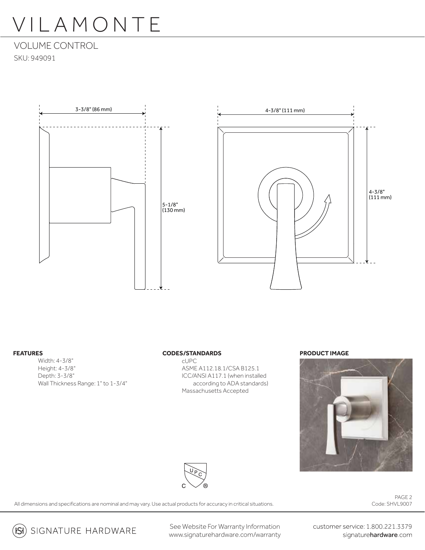VOLUME CONTROL SKU: 949091





#### **FEATURES**

Width: 4-3/8" Height: 4-3/8" Depth: 3-3/8" Wall Thickness Range: 1" to 1-3/4"

#### **CODES/STANDARDS**

cUPC ASME A112.18.1/CSA B125.1 ICC/ANSI A117.1 (when installed according to ADA standards) Massachusetts Accepted

#### **PRODUCT IMAGE**





All dimensions and specifications are nominal and may vary. Use actual products for accuracy in critical situations.

PAGE 2 Code: SHVL9007

**(Si**) SIGNATURE HARDWARE

See Website For Warranty Information www.signaturehardware.com/warranty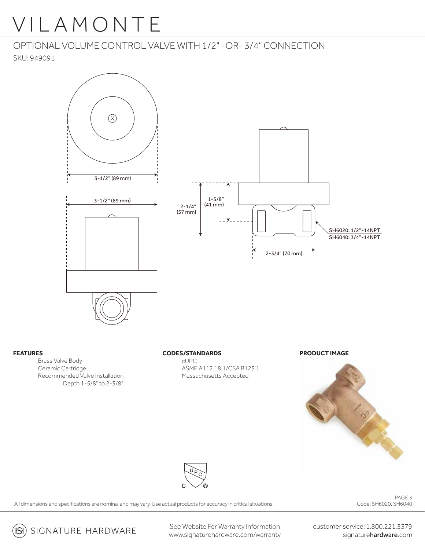OPTIONAL VOLUME CONTROL VALVE WITH 1/2" -OR- 3/4" CONNECTION

SKU: 949091



#### **FEATURES**

 Brass Valve Body Ceramic Cartridge Recommended Valve Installation Depth 1-5/8" to 2-3/8"

#### **CODES/STANDARDS**

cUPC ASME A112.18.1/CSA B125.1 Massachusetts Accepted

**PRODUCT IMAGE**





All dimensions and specifications are nominal and may vary. Use actual products for accuracy in critical situations.

PAGE 3 Code: SH6020, SH6040

SIGNATURE HARDWARE  $\mathsf{ISI})$ 

See Website For Warranty Information www.signaturehardware.com/warranty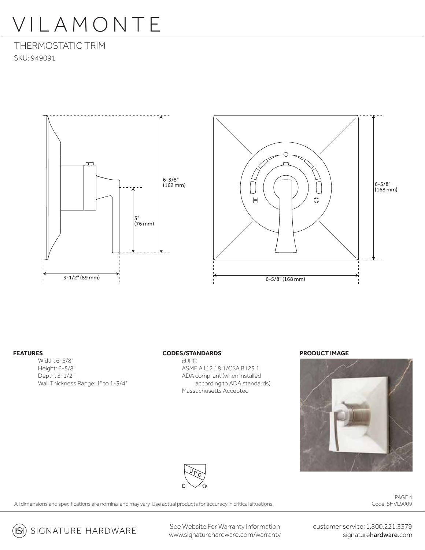THERMOSTATIC TRIM SKU: 949091





#### **FEATURES**

Width: 6-5/8" Height: 6-5/8" Depth: 3-1/2" Wall Thickness Range: 1" to 1-3/4"

#### **CODES/STANDARDS**

cUPC ASME A112.18.1/CSA B125.1 ADA compliant (when installed according to ADA standards) Massachusetts Accepted

#### **PRODUCT IMAGE**





All dimensions and specifications are nominal and may vary. Use actual products for accuracy in critical situations.

PAGE 4 Code: SHVL9009

(B) SIGNATURE HARDWARE

See Website For Warranty Information www.signaturehardware.com/warranty